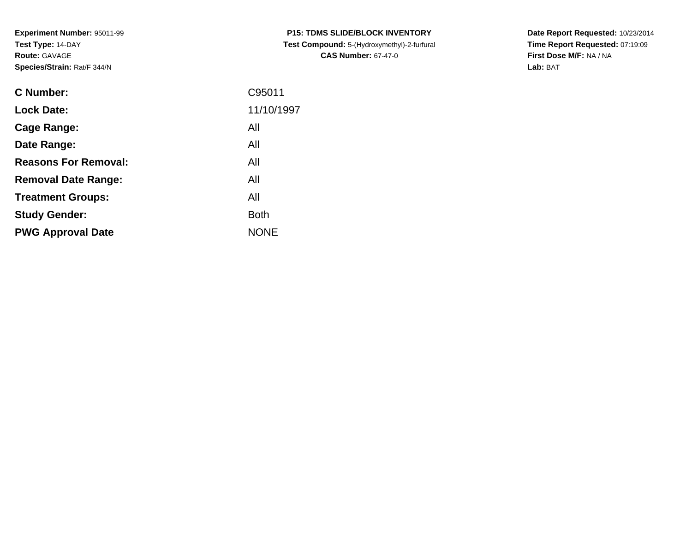**Experiment Number:** 95011-99**Test Type:** 14-DAY**Route:** GAVAGE**Species/Strain:** Rat/F 344/N

| <b>C Number:</b>            | C95011      |
|-----------------------------|-------------|
| <b>Lock Date:</b>           | 11/10/1997  |
| <b>Cage Range:</b>          | All         |
| Date Range:                 | All         |
| <b>Reasons For Removal:</b> | All         |
| <b>Removal Date Range:</b>  | All         |
| <b>Treatment Groups:</b>    | All         |
| <b>Study Gender:</b>        | <b>Both</b> |
| <b>PWG Approval Date</b>    | <b>NONE</b> |
|                             |             |

**P15: TDMS SLIDE/BLOCK INVENTORY Test Compound:** 5-(Hydroxymethyl)-2-furfural **CAS Number:** 67-47-0

**Date Report Requested:** 10/23/2014 **Time Report Requested:** 07:19:09**First Dose M/F:** NA / NA**Lab:** BAT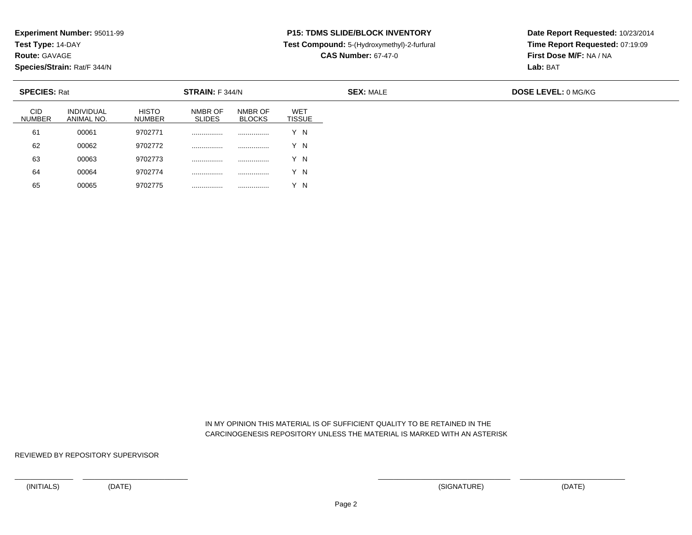**Test Type:** 14-DAY

**Route:** GAVAGE

65

**Species/Strain:** Rat/F 344/N

## **P15: TDMS SLIDE/BLOCK INVENTORY**

**Test Compound:** 5-(Hydroxymethyl)-2-furfural

**CAS Number:** 67-47-0

**Date Report Requested:** 10/23/2014**Time Report Requested:** 07:19:09**First Dose M/F:** NA / NA**Lab:** BAT

| <b>SPECIES: Rat</b>  |                                 |                               | STRAIN: F 344/N          |                          |                             |
|----------------------|---------------------------------|-------------------------------|--------------------------|--------------------------|-----------------------------|
| CID<br><b>NUMBER</b> | <b>INDIVIDUAL</b><br>ANIMAL NO. | <b>HISTO</b><br><b>NUMBER</b> | NMBR OF<br><b>SLIDES</b> | NMBR OF<br><b>BLOCKS</b> | <b>WET</b><br><b>TISSUE</b> |
| 61                   | 00061                           | 9702771                       | .                        | .                        | 'N                          |
| 62                   | 00062                           | 9702772                       |                          |                          | 'N                          |
| 63                   | 00063                           | 9702773                       | .                        | .                        | ΄Ν                          |
| 64                   | 00064                           | 9702774                       | .                        | .                        | 'N                          |

 IN MY OPINION THIS MATERIAL IS OF SUFFICIENT QUALITY TO BE RETAINED IN THECARCINOGENESIS REPOSITORY UNLESS THE MATERIAL IS MARKED WITH AN ASTERISK

REVIEWED BY REPOSITORY SUPERVISOR

<sup>00065</sup> <sup>9702775</sup> ................ ................ Y N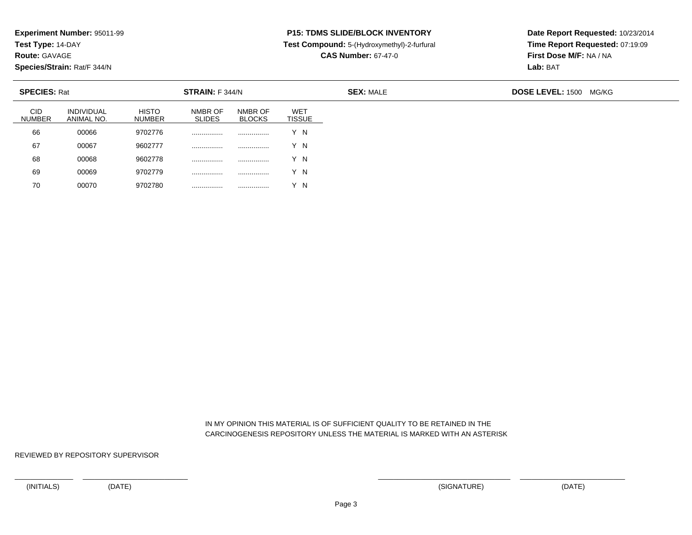**Test Type:** 14-DAY

**Route:** GAVAGE

70

**Species/Strain:** Rat/F 344/N

## **P15: TDMS SLIDE/BLOCK INVENTORY**

**Test Compound:** 5-(Hydroxymethyl)-2-furfural

**CAS Number:** 67-47-0

**Date Report Requested:** 10/23/2014**Time Report Requested:** 07:19:09**First Dose M/F:** NA / NA**Lab:** BAT

| <b>SPECIES: Rat</b>         |                                 |                               | STRAIN: F 344/N          |                          |                      | <b>SEX: MALE</b> | DOSE LEVEL: 1500 MG/KG |
|-----------------------------|---------------------------------|-------------------------------|--------------------------|--------------------------|----------------------|------------------|------------------------|
| <b>CID</b><br><b>NUMBER</b> | <b>INDIVIDUAL</b><br>ANIMAL NO. | <b>HISTO</b><br><b>NUMBER</b> | NMBR OF<br><b>SLIDES</b> | NMBR OF<br><b>BLOCKS</b> | WET<br><b>TISSUE</b> |                  |                        |
| 66                          | 00066                           | 9702776                       |                          | .                        | Y N                  |                  |                        |
| 67                          | 00067                           | 9602777                       |                          | .                        | Y N                  |                  |                        |
| 68                          | 00068                           | 9602778                       |                          |                          | Y N                  |                  |                        |
| 69                          | 00069                           | 9702779                       |                          |                          | Y N                  |                  |                        |

 IN MY OPINION THIS MATERIAL IS OF SUFFICIENT QUALITY TO BE RETAINED IN THECARCINOGENESIS REPOSITORY UNLESS THE MATERIAL IS MARKED WITH AN ASTERISK

REVIEWED BY REPOSITORY SUPERVISOR

<sup>00070</sup> <sup>9702780</sup> ................ ................ Y N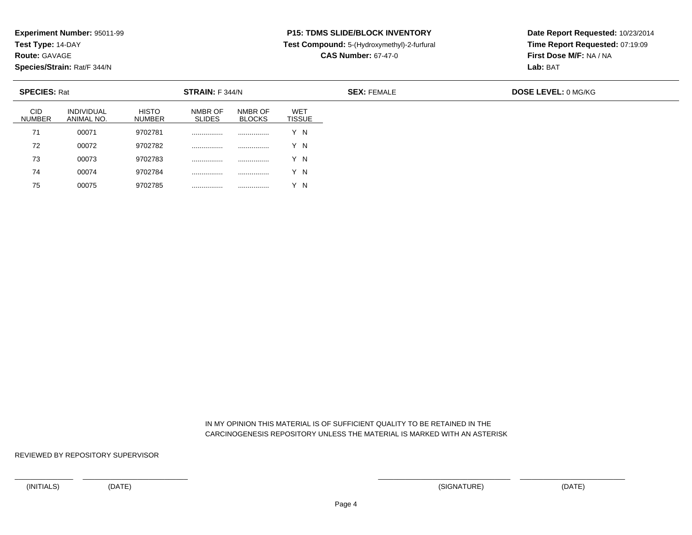**Test Type:** 14-DAY

**Route:** GAVAGE

75

**Species/Strain:** Rat/F 344/N

## **P15: TDMS SLIDE/BLOCK INVENTORY**

**Test Compound:** 5-(Hydroxymethyl)-2-furfural

**CAS Number:** 67-47-0

**Date Report Requested:** 10/23/2014**Time Report Requested:** 07:19:09**First Dose M/F:** NA / NA**Lab:** BAT

| <b>SPECIES: Rat</b>         |                                 |                               | STRAIN: F 344/N          |                          |                             |
|-----------------------------|---------------------------------|-------------------------------|--------------------------|--------------------------|-----------------------------|
| <b>CID</b><br><b>NUMBER</b> | <b>INDIVIDUAL</b><br>ANIMAL NO. | <b>HISTO</b><br><b>NUMBER</b> | NMBR OF<br><b>SLIDES</b> | NMBR OF<br><b>BLOCKS</b> | <b>WET</b><br><b>TISSUE</b> |
| 71                          | 00071                           | 9702781                       | .                        | .                        | Y N                         |
| 72                          | 00072                           | 9702782                       | .                        | .                        | Y N                         |
| 73                          | 00073                           | 9702783                       |                          | .                        | Y N                         |
| 74                          | 00074                           | 9702784                       |                          | .                        | ΄Ν                          |

 IN MY OPINION THIS MATERIAL IS OF SUFFICIENT QUALITY TO BE RETAINED IN THECARCINOGENESIS REPOSITORY UNLESS THE MATERIAL IS MARKED WITH AN ASTERISK

REVIEWED BY REPOSITORY SUPERVISOR

<sup>00075</sup> <sup>9702785</sup> ................ ................ Y N